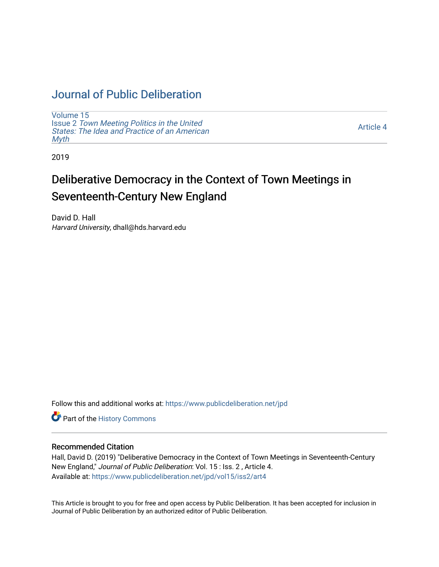## [Journal of Public Deliberation](https://www.publicdeliberation.net/jpd)

[Volume 15](https://www.publicdeliberation.net/jpd/vol15) Issue 2 [Town Meeting Politics in the United](https://www.publicdeliberation.net/jpd/vol15/iss2)  [States: The Idea and Practice of an American](https://www.publicdeliberation.net/jpd/vol15/iss2)  **[Myth](https://www.publicdeliberation.net/jpd/vol15/iss2)** 

[Article 4](https://www.publicdeliberation.net/jpd/vol15/iss2/art4) 

2019

# Deliberative Democracy in the Context of Town Meetings in Seventeenth-Century New England

David D. Hall Harvard University, dhall@hds.harvard.edu

Follow this and additional works at: [https://www.publicdeliberation.net/jpd](https://www.publicdeliberation.net/jpd?utm_source=www.publicdeliberation.net%2Fjpd%2Fvol15%2Fiss2%2Fart4&utm_medium=PDF&utm_campaign=PDFCoverPages)

Part of the [History Commons](http://network.bepress.com/hgg/discipline/489?utm_source=www.publicdeliberation.net%2Fjpd%2Fvol15%2Fiss2%2Fart4&utm_medium=PDF&utm_campaign=PDFCoverPages) 

### Recommended Citation

Hall, David D. (2019) "Deliberative Democracy in the Context of Town Meetings in Seventeenth-Century New England," Journal of Public Deliberation: Vol. 15 : Iss. 2 , Article 4. Available at: [https://www.publicdeliberation.net/jpd/vol15/iss2/art4](https://www.publicdeliberation.net/jpd/vol15/iss2/art4?utm_source=www.publicdeliberation.net%2Fjpd%2Fvol15%2Fiss2%2Fart4&utm_medium=PDF&utm_campaign=PDFCoverPages)

This Article is brought to you for free and open access by Public Deliberation. It has been accepted for inclusion in Journal of Public Deliberation by an authorized editor of Public Deliberation.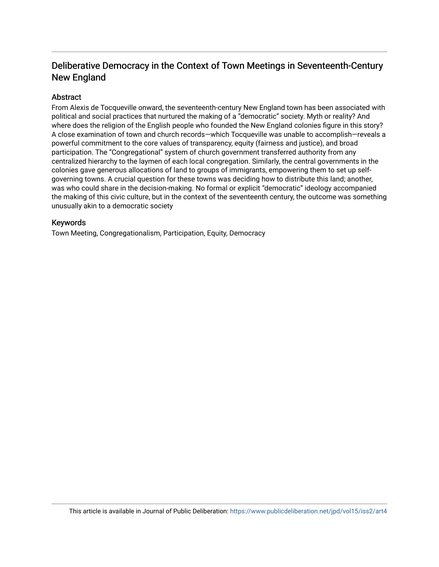### Deliberative Democracy in the Context of Town Meetings in Seventeenth-Century New England

### **Abstract**

From Alexis de Tocqueville onward, the seventeenth-century New England town has been associated with political and social practices that nurtured the making of a "democratic" society. Myth or reality? And where does the religion of the English people who founded the New England colonies figure in this story? A close examination of town and church records—which Tocqueville was unable to accomplish—reveals a powerful commitment to the core values of transparency, equity (fairness and justice), and broad participation. The "Congregational" system of church government transferred authority from any centralized hierarchy to the laymen of each local congregation. Similarly, the central governments in the colonies gave generous allocations of land to groups of immigrants, empowering them to set up selfgoverning towns. A crucial question for these towns was deciding how to distribute this land; another, was who could share in the decision-making. No formal or explicit "democratic" ideology accompanied the making of this civic culture, but in the context of the seventeenth century, the outcome was something unusually akin to a democratic society

### Keywords

Town Meeting, Congregationalism, Participation, Equity, Democracy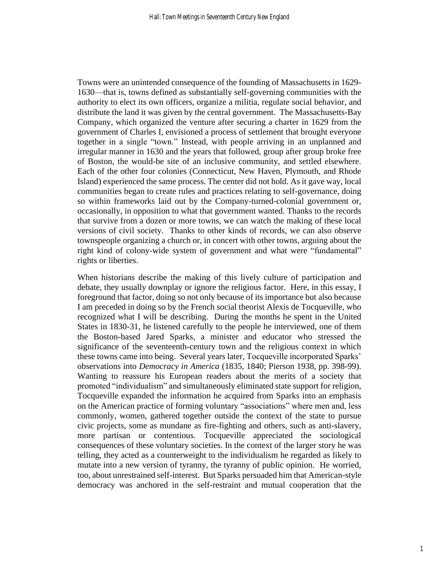Towns were an unintended consequence of the founding of Massachusetts in 1629- 1630—that is, towns defined as substantially self-governing communities with the authority to elect its own officers, organize a militia, regulate social behavior, and distribute the land it was given by the central government. The Massachusetts-Bay Company, which organized the venture after securing a charter in 1629 from the government of Charles I, envisioned a process of settlement that brought everyone together in a single "town." Instead, with people arriving in an unplanned and irregular manner in 1630 and the years that followed, group after group broke free of Boston, the would-be site of an inclusive community, and settled elsewhere. Each of the other four colonies (Connecticut, New Haven, Plymouth, and Rhode Island) experienced the same process. The center did not hold. As it gave way, local communities began to create rules and practices relating to self-governance, doing so within frameworks laid out by the Company-turned-colonial government or, occasionally, in opposition to what that government wanted. Thanks to the records that survive from a dozen or more towns, we can watch the making of these local versions of civil society. Thanks to other kinds of records, we can also observe townspeople organizing a church or, in concert with other towns, arguing about the right kind of colony-wide system of government and what were "fundamental" rights or liberties.

When historians describe the making of this lively culture of participation and debate, they usually downplay or ignore the religious factor. Here, in this essay, I foreground that factor, doing so not only because of its importance but also because I am preceded in doing so by the French social theorist Alexis de Tocqueville, who recognized what I will be describing. During the months he spent in the United States in 1830-31, he listened carefully to the people he interviewed, one of them the Boston-based Jared Sparks, a minister and educator who stressed the significance of the seventeenth-century town and the religious context in which these towns came into being. Several years later, Tocqueville incorporated Sparks' observations into *Democracy in America* (1835, 1840; Pierson 1938, pp. 398-99). Wanting to reassure his European readers about the merits of a society that promoted "individualism" and simultaneously eliminated state support for religion, Tocqueville expanded the information he acquired from Sparks into an emphasis on the American practice of forming voluntary "associations" where men and, less commonly, women, gathered together outside the context of the state to pursue civic projects, some as mundane as fire-fighting and others, such as anti-slavery, more partisan or contentious. Tocqueville appreciated the sociological consequences of these voluntary societies. In the context of the larger story he was telling, they acted as a counterweight to the individualism he regarded as likely to mutate into a new version of tyranny, the tyranny of public opinion. He worried, too, about unrestrained self-interest. But Sparks persuaded him that American-style democracy was anchored in the self-restraint and mutual cooperation that the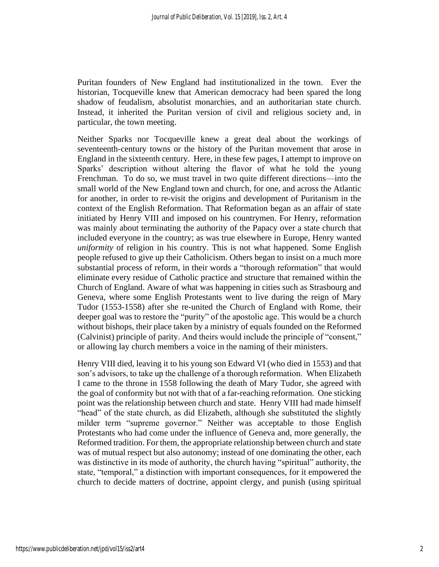Puritan founders of New England had institutionalized in the town. Ever the historian, Tocqueville knew that American democracy had been spared the long shadow of feudalism, absolutist monarchies, and an authoritarian state church. Instead, it inherited the Puritan version of civil and religious society and, in particular, the town meeting.

Neither Sparks nor Tocqueville knew a great deal about the workings of seventeenth-century towns or the history of the Puritan movement that arose in England in the sixteenth century. Here, in these few pages, I attempt to improve on Sparks' description without altering the flavor of what he told the young Frenchman. To do so, we must travel in two quite different directions—into the small world of the New England town and church, for one, and across the Atlantic for another, in order to re-visit the origins and development of Puritanism in the context of the English Reformation. That Reformation began as an affair of state initiated by Henry VIII and imposed on his countrymen. For Henry, reformation was mainly about terminating the authority of the Papacy over a state church that included everyone in the country; as was true elsewhere in Europe, Henry wanted *uniformity* of religion in his country. This is not what happened. Some English people refused to give up their Catholicism. Others began to insist on a much more substantial process of reform, in their words a "thorough reformation" that would eliminate every residue of Catholic practice and structure that remained within the Church of England. Aware of what was happening in cities such as Strasbourg and Geneva, where some English Protestants went to live during the reign of Mary Tudor (1553-1558) after she re-united the Church of England with Rome, their deeper goal was to restore the "purity" of the apostolic age. This would be a church without bishops, their place taken by a ministry of equals founded on the Reformed (Calvinist) principle of parity. And theirs would include the principle of "consent," or allowing lay church members a voice in the naming of their ministers.

Henry VIII died, leaving it to his young son Edward VI (who died in 1553) and that son's advisors, to take up the challenge of a thorough reformation. When Elizabeth I came to the throne in 1558 following the death of Mary Tudor, she agreed with the goal of conformity but not with that of a far-reaching reformation. One sticking point was the relationship between church and state. Henry VIII had made himself "head" of the state church, as did Elizabeth, although she substituted the slightly milder term "supreme governor." Neither was acceptable to those English Protestants who had come under the influence of Geneva and, more generally, the Reformed tradition. For them, the appropriate relationship between church and state was of mutual respect but also autonomy; instead of one dominating the other, each was distinctive in its mode of authority, the church having "spiritual" authority, the state, "temporal," a distinction with important consequences, for it empowered the church to decide matters of doctrine, appoint clergy, and punish (using spiritual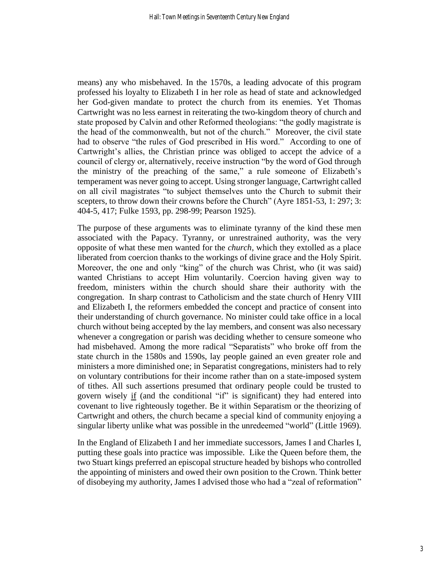means) any who misbehaved. In the 1570s, a leading advocate of this program professed his loyalty to Elizabeth I in her role as head of state and acknowledged her God-given mandate to protect the church from its enemies. Yet Thomas Cartwright was no less earnest in reiterating the two-kingdom theory of church and state proposed by Calvin and other Reformed theologians: "the godly magistrate is the head of the commonwealth, but not of the church." Moreover, the civil state had to observe "the rules of God prescribed in His word." According to one of Cartwright's allies, the Christian prince was obliged to accept the advice of a council of clergy or, alternatively, receive instruction "by the word of God through the ministry of the preaching of the same," a rule someone of Elizabeth's temperament was never going to accept. Using stronger language, Cartwright called on all civil magistrates "to subject themselves unto the Church to submit their scepters, to throw down their crowns before the Church" (Ayre 1851-53, 1: 297; 3: 404-5, 417; Fulke 1593, pp. 298-99; Pearson 1925).

The purpose of these arguments was to eliminate tyranny of the kind these men associated with the Papacy. Tyranny, or unrestrained authority, was the very opposite of what these men wanted for the *church*, which they extolled as a place liberated from coercion thanks to the workings of divine grace and the Holy Spirit. Moreover, the one and only "king" of the church was Christ, who (it was said) wanted Christians to accept Him voluntarily. Coercion having given way to freedom, ministers within the church should share their authority with the congregation. In sharp contrast to Catholicism and the state church of Henry VIII and Elizabeth I, the reformers embedded the concept and practice of consent into their understanding of church governance. No minister could take office in a local church without being accepted by the lay members, and consent was also necessary whenever a congregation or parish was deciding whether to censure someone who had misbehaved. Among the more radical "Separatists" who broke off from the state church in the 1580s and 1590s, lay people gained an even greater role and ministers a more diminished one; in Separatist congregations, ministers had to rely on voluntary contributions for their income rather than on a state-imposed system of tithes. All such assertions presumed that ordinary people could be trusted to govern wisely if (and the conditional "if" is significant) they had entered into covenant to live righteously together. Be it within Separatism or the theorizing of Cartwright and others, the church became a special kind of community enjoying a singular liberty unlike what was possible in the unredeemed "world" (Little 1969).

In the England of Elizabeth I and her immediate successors, James I and Charles I, putting these goals into practice was impossible. Like the Queen before them, the two Stuart kings preferred an episcopal structure headed by bishops who controlled the appointing of ministers and owed their own position to the Crown. Think better of disobeying my authority, James I advised those who had a "zeal of reformation"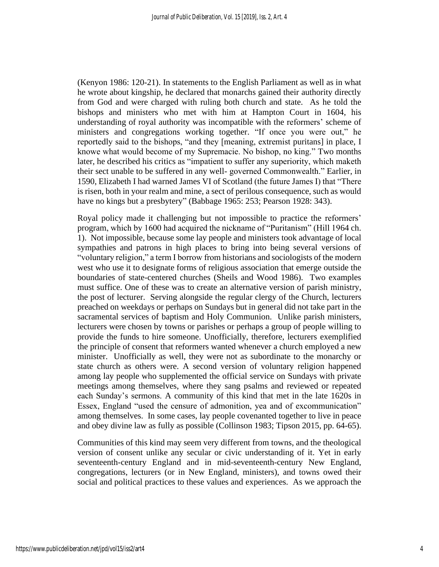(Kenyon 1986: 120-21). In statements to the English Parliament as well as in what he wrote about kingship, he declared that monarchs gained their authority directly from God and were charged with ruling both church and state. As he told the bishops and ministers who met with him at Hampton Court in 1604, his understanding of royal authority was incompatible with the reformers' scheme of ministers and congregations working together. "If once you were out," he reportedly said to the bishops, "and they [meaning, extremist puritans] in place, I knowe what would become of my Supremacie. No bishop, no king." Two months later, he described his critics as "impatient to suffer any superiority, which maketh their sect unable to be suffered in any well- governed Commonwealth." Earlier, in 1590, Elizabeth I had warned James VI of Scotland (the future James I) that "There is risen, both in your realm and mine, a sect of perilous consequence, such as would have no kings but a presbytery" (Babbage 1965: 253; Pearson 1928: 343).

Royal policy made it challenging but not impossible to practice the reformers' program, which by 1600 had acquired the nickname of "Puritanism" (Hill 1964 ch. 1). Not impossible, because some lay people and ministers took advantage of local sympathies and patrons in high places to bring into being several versions of "voluntary religion," a term I borrow from historians and sociologists of the modern west who use it to designate forms of religious association that emerge outside the boundaries of state-centered churches (Sheils and Wood 1986). Two examples must suffice. One of these was to create an alternative version of parish ministry, the post of lecturer. Serving alongside the regular clergy of the Church, lecturers preached on weekdays or perhaps on Sundays but in general did not take part in the sacramental services of baptism and Holy Communion. Unlike parish ministers, lecturers were chosen by towns or parishes or perhaps a group of people willing to provide the funds to hire someone. Unofficially, therefore, lecturers exemplified the principle of consent that reformers wanted whenever a church employed a new minister. Unofficially as well, they were not as subordinate to the monarchy or state church as others were. A second version of voluntary religion happened among lay people who supplemented the official service on Sundays with private meetings among themselves, where they sang psalms and reviewed or repeated each Sunday's sermons. A community of this kind that met in the late 1620s in Essex, England "used the censure of admonition, yea and of excommunication" among themselves. In some cases, lay people covenanted together to live in peace and obey divine law as fully as possible (Collinson 1983; Tipson 2015, pp. 64-65).

Communities of this kind may seem very different from towns, and the theological version of consent unlike any secular or civic understanding of it. Yet in early seventeenth-century England and in mid-seventeenth-century New England, congregations, lecturers (or in New England, ministers), and towns owed their social and political practices to these values and experiences. As we approach the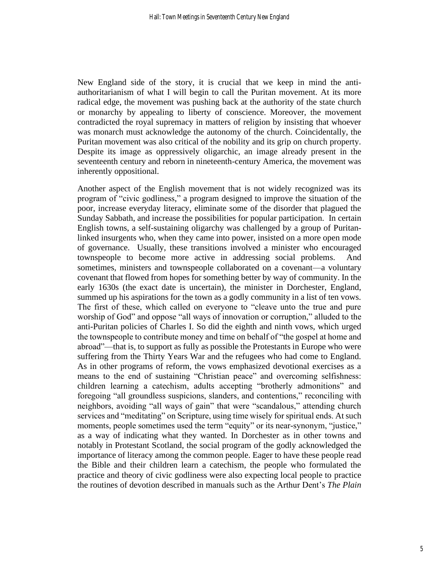New England side of the story, it is crucial that we keep in mind the antiauthoritarianism of what I will begin to call the Puritan movement. At its more radical edge, the movement was pushing back at the authority of the state church or monarchy by appealing to liberty of conscience. Moreover, the movement contradicted the royal supremacy in matters of religion by insisting that whoever was monarch must acknowledge the autonomy of the church. Coincidentally, the Puritan movement was also critical of the nobility and its grip on church property. Despite its image as oppressively oligarchic, an image already present in the seventeenth century and reborn in nineteenth-century America, the movement was inherently oppositional.

Another aspect of the English movement that is not widely recognized was its program of "civic godliness," a program designed to improve the situation of the poor, increase everyday literacy, eliminate some of the disorder that plagued the Sunday Sabbath, and increase the possibilities for popular participation. In certain English towns, a self-sustaining oligarchy was challenged by a group of Puritanlinked insurgents who, when they came into power, insisted on a more open mode of governance. Usually, these transitions involved a minister who encouraged townspeople to become more active in addressing social problems. And sometimes, ministers and townspeople collaborated on a covenant—a voluntary covenant that flowed from hopes for something better by way of community. In the early 1630s (the exact date is uncertain), the minister in Dorchester, England, summed up his aspirations for the town as a godly community in a list of ten vows. The first of these, which called on everyone to "cleave unto the true and pure worship of God" and oppose "all ways of innovation or corruption," alluded to the anti-Puritan policies of Charles I. So did the eighth and ninth vows, which urged the townspeople to contribute money and time on behalf of "the gospel at home and abroad"—that is, to support as fully as possible the Protestants in Europe who were suffering from the Thirty Years War and the refugees who had come to England. As in other programs of reform, the vows emphasized devotional exercises as a means to the end of sustaining "Christian peace" and overcoming selfishness: children learning a catechism, adults accepting "brotherly admonitions" and foregoing "all groundless suspicions, slanders, and contentions," reconciling with neighbors, avoiding "all ways of gain" that were "scandalous," attending church services and "meditating" on Scripture, using time wisely for spiritual ends. At such moments, people sometimes used the term "equity" or its near-synonym, "justice," as a way of indicating what they wanted. In Dorchester as in other towns and notably in Protestant Scotland, the social program of the godly acknowledged the importance of literacy among the common people. Eager to have these people read the Bible and their children learn a catechism, the people who formulated the practice and theory of civic godliness were also expecting local people to practice the routines of devotion described in manuals such as the Arthur Dent's *The Plain*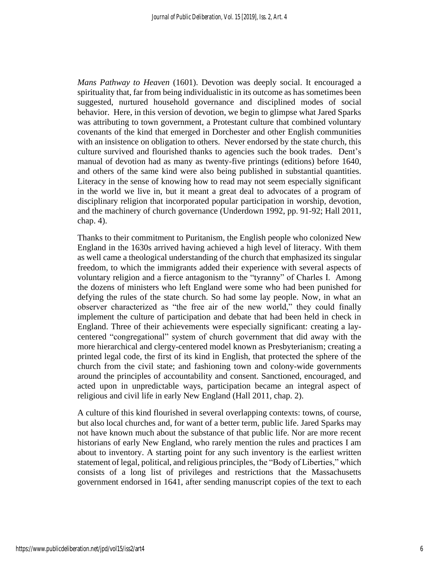*Mans Pathway to Heaven* (1601). Devotion was deeply social. It encouraged a spirituality that, far from being individualistic in its outcome as has sometimes been suggested, nurtured household governance and disciplined modes of social behavior. Here, in this version of devotion, we begin to glimpse what Jared Sparks was attributing to town government, a Protestant culture that combined voluntary covenants of the kind that emerged in Dorchester and other English communities with an insistence on obligation to others. Never endorsed by the state church, this culture survived and flourished thanks to agencies such the book trades. Dent's manual of devotion had as many as twenty-five printings (editions) before 1640, and others of the same kind were also being published in substantial quantities. Literacy in the sense of knowing how to read may not seem especially significant in the world we live in, but it meant a great deal to advocates of a program of disciplinary religion that incorporated popular participation in worship, devotion, and the machinery of church governance (Underdown 1992, pp. 91-92; Hall 2011, chap. 4).

Thanks to their commitment to Puritanism, the English people who colonized New England in the 1630s arrived having achieved a high level of literacy. With them as well came a theological understanding of the church that emphasized its singular freedom, to which the immigrants added their experience with several aspects of voluntary religion and a fierce antagonism to the "tyranny" of Charles I. Among the dozens of ministers who left England were some who had been punished for defying the rules of the state church. So had some lay people. Now, in what an observer characterized as "the free air of the new world," they could finally implement the culture of participation and debate that had been held in check in England. Three of their achievements were especially significant: creating a laycentered "congregational" system of church government that did away with the more hierarchical and clergy-centered model known as Presbyterianism; creating a printed legal code, the first of its kind in English, that protected the sphere of the church from the civil state; and fashioning town and colony-wide governments around the principles of accountability and consent. Sanctioned, encouraged, and acted upon in unpredictable ways, participation became an integral aspect of religious and civil life in early New England (Hall 2011, chap. 2).

A culture of this kind flourished in several overlapping contexts: towns, of course, but also local churches and, for want of a better term, public life. Jared Sparks may not have known much about the substance of that public life. Nor are more recent historians of early New England, who rarely mention the rules and practices I am about to inventory. A starting point for any such inventory is the earliest written statement of legal, political, and religious principles, the "Body of Liberties," which consists of a long list of privileges and restrictions that the Massachusetts government endorsed in 1641, after sending manuscript copies of the text to each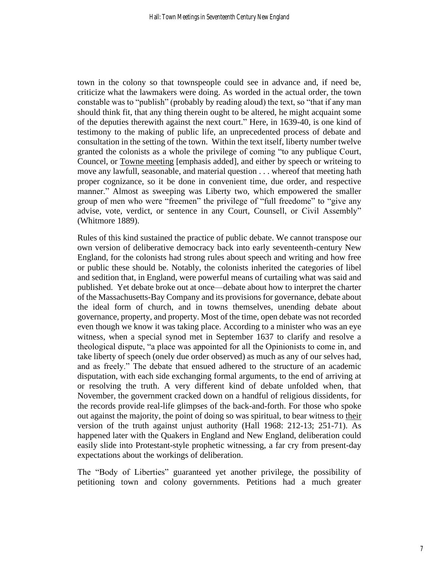town in the colony so that townspeople could see in advance and, if need be, criticize what the lawmakers were doing. As worded in the actual order, the town constable was to "publish" (probably by reading aloud) the text, so "that if any man should think fit, that any thing therein ought to be altered, he might acquaint some of the deputies therewith against the next court." Here, in 1639-40, is one kind of testimony to the making of public life, an unprecedented process of debate and consultation in the setting of the town. Within the text itself, liberty number twelve granted the colonists as a whole the privilege of coming "to any publique Court, Councel, or Towne meeting [emphasis added], and either by speech or writeing to move any lawfull, seasonable, and material question . . . whereof that meeting hath proper cognizance, so it be done in convenient time, due order, and respective manner." Almost as sweeping was Liberty two, which empowered the smaller group of men who were "freemen" the privilege of "full freedome" to "give any advise, vote, verdict, or sentence in any Court, Counsell, or Civil Assembly" (Whitmore 1889).

Rules of this kind sustained the practice of public debate. We cannot transpose our own version of deliberative democracy back into early seventeenth-century New England, for the colonists had strong rules about speech and writing and how free or public these should be. Notably, the colonists inherited the categories of libel and sedition that, in England, were powerful means of curtailing what was said and published. Yet debate broke out at once—debate about how to interpret the charter of the Massachusetts-Bay Company and its provisions for governance, debate about the ideal form of church, and in towns themselves, unending debate about governance, property, and property. Most of the time, open debate was not recorded even though we know it was taking place. According to a minister who was an eye witness, when a special synod met in September 1637 to clarify and resolve a theological dispute, "a place was appointed for all the Opinionists to come in, and take liberty of speech (onely due order observed) as much as any of our selves had, and as freely." The debate that ensued adhered to the structure of an academic disputation, with each side exchanging formal arguments, to the end of arriving at or resolving the truth. A very different kind of debate unfolded when, that November, the government cracked down on a handful of religious dissidents, for the records provide real-life glimpses of the back-and-forth. For those who spoke out against the majority, the point of doing so was spiritual, to bear witness to their version of the truth against unjust authority (Hall 1968: 212-13; 251-71). As happened later with the Quakers in England and New England, deliberation could easily slide into Protestant-style prophetic witnessing, a far cry from present-day expectations about the workings of deliberation.

The "Body of Liberties" guaranteed yet another privilege, the possibility of petitioning town and colony governments. Petitions had a much greater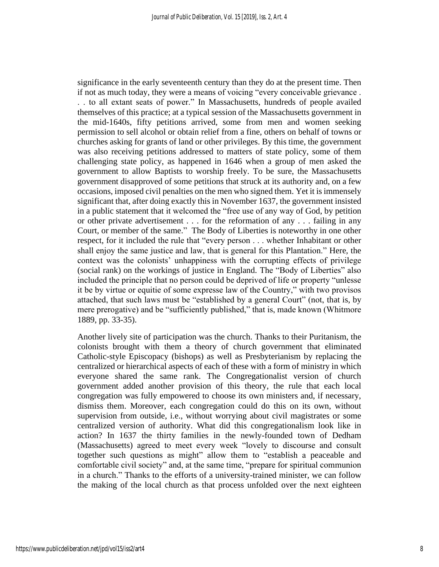significance in the early seventeenth century than they do at the present time. Then if not as much today, they were a means of voicing "every conceivable grievance . . . to all extant seats of power." In Massachusetts, hundreds of people availed themselves of this practice; at a typical session of the Massachusetts government in the mid-1640s, fifty petitions arrived, some from men and women seeking permission to sell alcohol or obtain relief from a fine, others on behalf of towns or churches asking for grants of land or other privileges. By this time, the government was also receiving petitions addressed to matters of state policy, some of them challenging state policy, as happened in 1646 when a group of men asked the government to allow Baptists to worship freely. To be sure, the Massachusetts government disapproved of some petitions that struck at its authority and, on a few occasions, imposed civil penalties on the men who signed them. Yet it is immensely significant that, after doing exactly this in November 1637, the government insisted in a public statement that it welcomed the "free use of any way of God, by petition or other private advertisement . . . for the reformation of any . . . failing in any Court, or member of the same." The Body of Liberties is noteworthy in one other respect, for it included the rule that "every person . . . whether Inhabitant or other shall enjoy the same justice and law, that is general for this Plantation." Here, the context was the colonists' unhappiness with the corrupting effects of privilege (social rank) on the workings of justice in England. The "Body of Liberties" also included the principle that no person could be deprived of life or property "unlesse it be by virtue or equitie of some expresse law of the Country," with two provisos attached, that such laws must be "established by a general Court" (not, that is, by mere prerogative) and be "sufficiently published," that is, made known (Whitmore 1889, pp. 33-35).

Another lively site of participation was the church. Thanks to their Puritanism, the colonists brought with them a theory of church government that eliminated Catholic-style Episcopacy (bishops) as well as Presbyterianism by replacing the centralized or hierarchical aspects of each of these with a form of ministry in which everyone shared the same rank. The Congregationalist version of church government added another provision of this theory, the rule that each local congregation was fully empowered to choose its own ministers and, if necessary, dismiss them. Moreover, each congregation could do this on its own, without supervision from outside, i.e., without worrying about civil magistrates or some centralized version of authority. What did this congregationalism look like in action? In 1637 the thirty families in the newly-founded town of Dedham (Massachusetts) agreed to meet every week "lovely to discourse and consult together such questions as might" allow them to "establish a peaceable and comfortable civil society" and, at the same time, "prepare for spiritual communion in a church." Thanks to the efforts of a university-trained minister, we can follow the making of the local church as that process unfolded over the next eighteen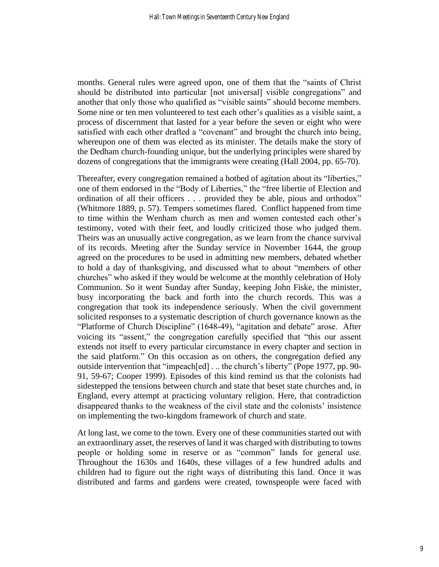months. General rules were agreed upon, one of them that the "saints of Christ should be distributed into particular [not universal] visible congregations" and another that only those who qualified as "visible saints" should become members. Some nine or ten men volunteered to test each other's qualities as a visible saint, a process of discernment that lasted for a year before the seven or eight who were satisfied with each other drafted a "covenant" and brought the church into being, whereupon one of them was elected as its minister. The details make the story of the Dedham church-founding unique, but the underlying principles were shared by dozens of congregations that the immigrants were creating (Hall 2004, pp. 65-70).

Thereafter, every congregation remained a hotbed of agitation about its "liberties," one of them endorsed in the "Body of Liberties," the "free libertie of Election and ordination of all their officers . . . provided they be able, pious and orthodox" (Whitmore 1889, p. 57). Tempers sometimes flared. Conflict happened from time to time within the Wenham church as men and women contested each other's testimony, voted with their feet, and loudly criticized those who judged them. Theirs was an unusually active congregation, as we learn from the chance survival of its records. Meeting after the Sunday service in November 1644, the group agreed on the procedures to be used in admitting new members, debated whether to hold a day of thanksgiving, and discussed what to about "members of other churches" who asked if they would be welcome at the monthly celebration of Holy Communion. So it went Sunday after Sunday, keeping John Fiske, the minister, busy incorporating the back and forth into the church records. This was a congregation that took its independence seriously. When the civil government solicited responses to a systematic description of church governance known as the "Platforme of Church Discipline" (1648-49), "agitation and debate" arose. After voicing its "assent," the congregation carefully specified that "this our assent extends not itself to every particular circumstance in every chapter and section in the said platform." On this occasion as on others, the congregation defied any outside intervention that "impeach[ed] . .. the church's liberty" (Pope 1977, pp. 90- 91, 59-67; Cooper 1999). Episodes of this kind remind us that the colonists had sidestepped the tensions between church and state that beset state churches and, in England, every attempt at practicing voluntary religion. Here, that contradiction disappeared thanks to the weakness of the civil state and the colonists' insistence on implementing the two-kingdom framework of church and state.

At long last, we come to the town. Every one of these communities started out with an extraordinary asset, the reserves of land it was charged with distributing to towns people or holding some in reserve or as "common" lands for general use. Throughout the 1630s and 1640s, these villages of a few hundred adults and children had to figure out the right ways of distributing this land. Once it was distributed and farms and gardens were created, townspeople were faced with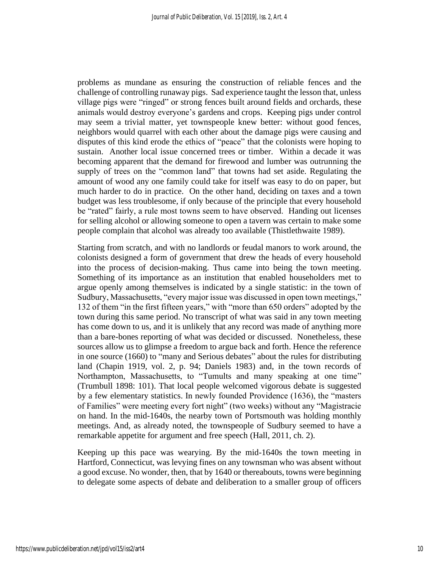problems as mundane as ensuring the construction of reliable fences and the challenge of controlling runaway pigs. Sad experience taught the lesson that, unless village pigs were "ringed" or strong fences built around fields and orchards, these animals would destroy everyone's gardens and crops. Keeping pigs under control may seem a trivial matter, yet townspeople knew better: without good fences, neighbors would quarrel with each other about the damage pigs were causing and disputes of this kind erode the ethics of "peace" that the colonists were hoping to sustain. Another local issue concerned trees or timber. Within a decade it was becoming apparent that the demand for firewood and lumber was outrunning the supply of trees on the "common land" that towns had set aside. Regulating the amount of wood any one family could take for itself was easy to do on paper, but much harder to do in practice. On the other hand, deciding on taxes and a town budget was less troublesome, if only because of the principle that every household be "rated" fairly, a rule most towns seem to have observed. Handing out licenses for selling alcohol or allowing someone to open a tavern was certain to make some people complain that alcohol was already too available (Thistlethwaite 1989).

Starting from scratch, and with no landlords or feudal manors to work around, the colonists designed a form of government that drew the heads of every household into the process of decision-making. Thus came into being the town meeting. Something of its importance as an institution that enabled householders met to argue openly among themselves is indicated by a single statistic: in the town of Sudbury, Massachusetts, "every major issue was discussed in open town meetings," 132 of them "in the first fifteen years," with "more than 650 orders" adopted by the town during this same period. No transcript of what was said in any town meeting has come down to us, and it is unlikely that any record was made of anything more than a bare-bones reporting of what was decided or discussed. Nonetheless, these sources allow us to glimpse a freedom to argue back and forth. Hence the reference in one source (1660) to "many and Serious debates" about the rules for distributing land (Chapin 1919, vol. 2, p. 94; Daniels 1983) and, in the town records of Northampton, Massachusetts, to "Tumults and many speaking at one time" (Trumbull 1898: 101). That local people welcomed vigorous debate is suggested by a few elementary statistics. In newly founded Providence (1636), the "masters of Families" were meeting every fort night" (two weeks) without any "Magistracie on hand. In the mid-1640s, the nearby town of Portsmouth was holding monthly meetings. And, as already noted, the townspeople of Sudbury seemed to have a remarkable appetite for argument and free speech (Hall, 2011, ch. 2).

Keeping up this pace was wearying. By the mid-1640s the town meeting in Hartford, Connecticut, was levying fines on any townsman who was absent without a good excuse. No wonder, then, that by 1640 or thereabouts, towns were beginning to delegate some aspects of debate and deliberation to a smaller group of officers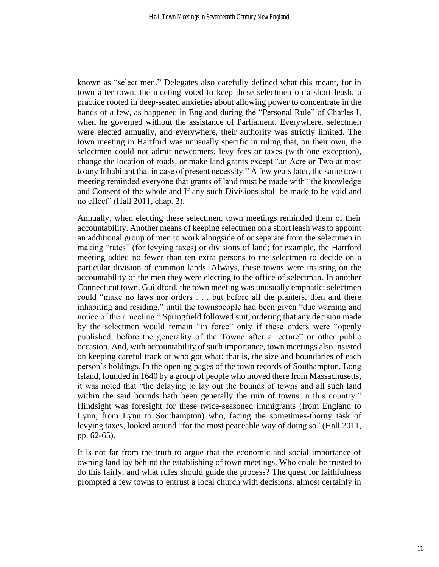known as "select men." Delegates also carefully defined what this meant, for in town after town, the meeting voted to keep these selectmen on a short leash, a practice rooted in deep-seated anxieties about allowing power to concentrate in the hands of a few, as happened in England during the "Personal Rule" of Charles I, when he governed without the assistance of Parliament. Everywhere, selectmen were elected annually, and everywhere, their authority was strictly limited. The town meeting in Hartford was unusually specific in ruling that, on their own, the selectmen could not admit newcomers, levy fees or taxes (with one exception), change the location of roads, or make land grants except "an Acre or Two at most to any Inhabitant that in case of present necessity." A few years later, the same town meeting reminded everyone that grants of land must be made with "the knowledge and Consent of the whole and If any such Divisions shall be made to be void and no effect" (Hall 2011, chap. 2).

Annually, when electing these selectmen, town meetings reminded them of their accountability. Another means of keeping selectmen on a short leash was to appoint an additional group of men to work alongside of or separate from the selectmen in making "rates" (for levying taxes) or divisions of land; for example, the Hartford meeting added no fewer than ten extra persons to the selectmen to decide on a particular division of common lands. Always, these towns were insisting on the accountability of the men they were electing to the office of selectman. In another Connecticut town, Guildford, the town meeting was unusually emphatic: selectmen could "make no laws nor orders . . . but before all the planters, then and there inhabiting and residing," until the townspeople had been given "due warning and notice of their meeting." Springfield followed suit, ordering that any decision made by the selectmen would remain "in force" only if these orders were "openly published, before the generality of the Towne after a lecture" or other public occasion. And, with accountability of such importance, town meetings also insisted on keeping careful track of who got what: that is, the size and boundaries of each person's holdings. In the opening pages of the town records of Southampton, Long Island, founded in 1640 by a group of people who moved there from Massachusetts, it was noted that "the delaying to lay out the bounds of towns and all such land within the said bounds hath been generally the ruin of towns in this country." Hindsight was foresight for these twice-seasoned immigrants (from England to Lynn, from Lynn to Southampton) who, facing the sometimes-thorny task of levying taxes, looked around "for the most peaceable way of doing so" (Hall 2011, pp. 62-65).

It is not far from the truth to argue that the economic and social importance of owning land lay behind the establishing of town meetings. Who could be trusted to do this fairly, and what rules should guide the process? The quest for faithfulness prompted a few towns to entrust a local church with decisions, almost certainly in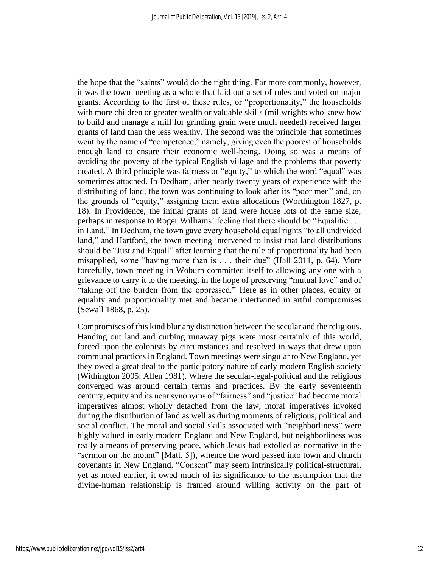the hope that the "saints" would do the right thing. Far more commonly, however, it was the town meeting as a whole that laid out a set of rules and voted on major grants. According to the first of these rules, or "proportionality," the households with more children or greater wealth or valuable skills (millwrights who knew how to build and manage a mill for grinding grain were much needed) received larger grants of land than the less wealthy. The second was the principle that sometimes went by the name of "competence," namely, giving even the poorest of households enough land to ensure their economic well-being. Doing so was a means of avoiding the poverty of the typical English village and the problems that poverty created. A third principle was fairness or "equity," to which the word "equal" was sometimes attached. In Dedham, after nearly twenty years of experience with the distributing of land, the town was continuing to look after its "poor men" and, on the grounds of "equity," assigning them extra allocations (Worthington 1827, p. 18). In Providence, the initial grants of land were house lots of the same size, perhaps in response to Roger Williams' feeling that there should be "Equalitie . . . in Land." In Dedham, the town gave every household equal rights "to all undivided land," and Hartford, the town meeting intervened to insist that land distributions should be "Just and Equall" after learning that the rule of proportionality had been misapplied, some "having more than is . . . their due" (Hall 2011, p. 64). More forcefully, town meeting in Woburn committed itself to allowing any one with a grievance to carry it to the meeting, in the hope of preserving "mutual love" and of "taking off the burden from the oppressed." Here as in other places, equity or equality and proportionality met and became intertwined in artful compromises (Sewall 1868, p. 25).

Compromises of this kind blur any distinction between the secular and the religious. Handing out land and curbing runaway pigs were most certainly of this world, forced upon the colonists by circumstances and resolved in ways that drew upon communal practices in England. Town meetings were singular to New England, yet they owed a great deal to the participatory nature of early modern English society (Withington 2005; Allen 1981). Where the secular-legal-political and the religious converged was around certain terms and practices. By the early seventeenth century, equity and its near synonyms of "fairness" and "justice" had become moral imperatives almost wholly detached from the law, moral imperatives invoked during the distribution of land as well as during moments of religious, political and social conflict. The moral and social skills associated with "neighborliness" were highly valued in early modern England and New England, but neighborliness was really a means of preserving peace, which Jesus had extolled as normative in the "sermon on the mount" [Matt. 5]), whence the word passed into town and church covenants in New England. "Consent" may seem intrinsically political-structural, yet as noted earlier, it owed much of its significance to the assumption that the divine-human relationship is framed around willing activity on the part of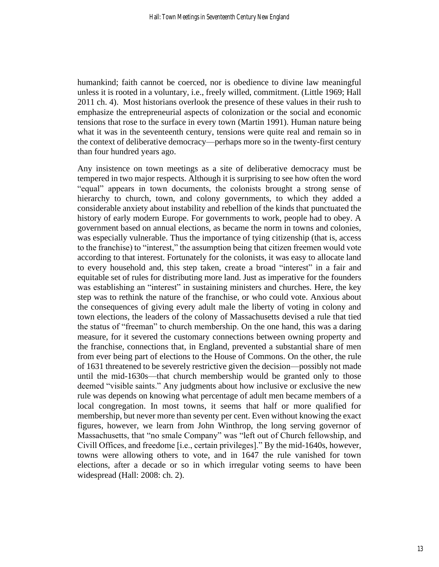humankind; faith cannot be coerced, nor is obedience to divine law meaningful unless it is rooted in a voluntary, i.e., freely willed, commitment. (Little 1969; Hall 2011 ch. 4). Most historians overlook the presence of these values in their rush to emphasize the entrepreneurial aspects of colonization or the social and economic tensions that rose to the surface in every town (Martin 1991). Human nature being what it was in the seventeenth century, tensions were quite real and remain so in the context of deliberative democracy—perhaps more so in the twenty-first century than four hundred years ago.

Any insistence on town meetings as a site of deliberative democracy must be tempered in two major respects. Although it is surprising to see how often the word "equal" appears in town documents, the colonists brought a strong sense of hierarchy to church, town, and colony governments, to which they added a considerable anxiety about instability and rebellion of the kinds that punctuated the history of early modern Europe. For governments to work, people had to obey. A government based on annual elections, as became the norm in towns and colonies, was especially vulnerable. Thus the importance of tying citizenship (that is, access to the franchise) to "interest," the assumption being that citizen freemen would vote according to that interest. Fortunately for the colonists, it was easy to allocate land to every household and, this step taken, create a broad "interest" in a fair and equitable set of rules for distributing more land. Just as imperative for the founders was establishing an "interest" in sustaining ministers and churches. Here, the key step was to rethink the nature of the franchise, or who could vote. Anxious about the consequences of giving every adult male the liberty of voting in colony and town elections, the leaders of the colony of Massachusetts devised a rule that tied the status of "freeman" to church membership. On the one hand, this was a daring measure, for it severed the customary connections between owning property and the franchise, connections that, in England, prevented a substantial share of men from ever being part of elections to the House of Commons. On the other, the rule of 1631 threatened to be severely restrictive given the decision—possibly not made until the mid-1630s—that church membership would be granted only to those deemed "visible saints." Any judgments about how inclusive or exclusive the new rule was depends on knowing what percentage of adult men became members of a local congregation. In most towns, it seems that half or more qualified for membership, but never more than seventy per cent. Even without knowing the exact figures, however, we learn from John Winthrop, the long serving governor of Massachusetts, that "no smale Company" was "left out of Church fellowship, and Civill Offices, and freedome [i.e., certain privileges]." By the mid-1640s, however, towns were allowing others to vote, and in 1647 the rule vanished for town elections, after a decade or so in which irregular voting seems to have been widespread (Hall: 2008: ch. 2).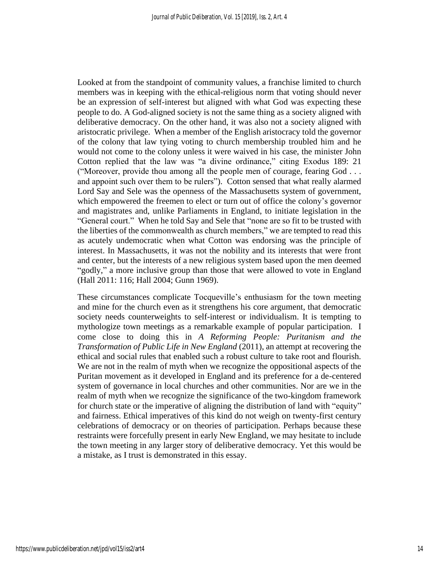Looked at from the standpoint of community values, a franchise limited to church members was in keeping with the ethical-religious norm that voting should never be an expression of self-interest but aligned with what God was expecting these people to do. A God-aligned society is not the same thing as a society aligned with deliberative democracy. On the other hand, it was also not a society aligned with aristocratic privilege. When a member of the English aristocracy told the governor of the colony that law tying voting to church membership troubled him and he would not come to the colony unless it were waived in his case, the minister John Cotton replied that the law was "a divine ordinance," citing Exodus 189: 21 ("Moreover, provide thou among all the people men of courage, fearing God . . . and appoint such over them to be rulers"). Cotton sensed that what really alarmed Lord Say and Sele was the openness of the Massachusetts system of government, which empowered the freemen to elect or turn out of office the colony's governor and magistrates and, unlike Parliaments in England, to initiate legislation in the "General court." When he told Say and Sele that "none are so fit to be trusted with the liberties of the commonwealth as church members," we are tempted to read this as acutely undemocratic when what Cotton was endorsing was the principle of interest. In Massachusetts, it was not the nobility and its interests that were front and center, but the interests of a new religious system based upon the men deemed "godly," a more inclusive group than those that were allowed to vote in England (Hall 2011: 116; Hall 2004; Gunn 1969).

These circumstances complicate Tocqueville's enthusiasm for the town meeting and mine for the church even as it strengthens his core argument, that democratic society needs counterweights to self-interest or individualism. It is tempting to mythologize town meetings as a remarkable example of popular participation. I come close to doing this in *A Reforming People: Puritanism and the Transformation of Public Life in New England* (2011), an attempt at recovering the ethical and social rules that enabled such a robust culture to take root and flourish. We are not in the realm of myth when we recognize the oppositional aspects of the Puritan movement as it developed in England and its preference for a de-centered system of governance in local churches and other communities. Nor are we in the realm of myth when we recognize the significance of the two-kingdom framework for church state or the imperative of aligning the distribution of land with "equity" and fairness. Ethical imperatives of this kind do not weigh on twenty-first century celebrations of democracy or on theories of participation. Perhaps because these restraints were forcefully present in early New England, we may hesitate to include the town meeting in any larger story of deliberative democracy. Yet this would be a mistake, as I trust is demonstrated in this essay.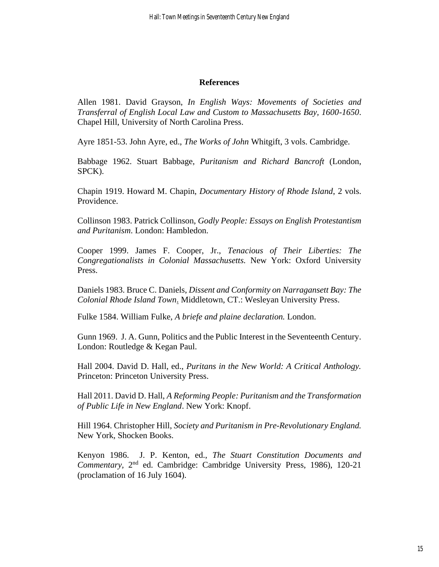#### **References**

Allen 1981. David Grayson, *In English Ways: Movements of Societies and Transferral of English Local Law and Custom to Massachusetts Bay, 1600-1650*. Chapel Hill, University of North Carolina Press.

Ayre 1851-53. John Ayre, ed., *The Works of John* Whitgift, 3 vols. Cambridge.

Babbage 1962. Stuart Babbage, *Puritanism and Richard Bancroft* (London, SPCK).

Chapin 1919. Howard M. Chapin, *Documentary History of Rhode Island*, 2 vols. Providence.

Collinson 1983. Patrick Collinson, *Godly People: Essays on English Protestantism and Puritanism*. London: Hambledon.

Cooper 1999. James F. Cooper, Jr., *Tenacious of Their Liberties: The Congregationalists in Colonial Massachusetts.* New York: Oxford University Press.

Daniels 1983. Bruce C. Daniels, *Dissent and Conformity on Narragansett Bay: The Colonial Rhode Island Town*. Middletown, CT.: Wesleyan University Press.

Fulke 1584. William Fulke, *A briefe and plaine declaration.* London.

Gunn 1969. J. A. Gunn, Politics and the Public Interest in the Seventeenth Century. London: Routledge & Kegan Paul.

Hall 2004. David D. Hall, ed., *Puritans in the New World: A Critical Anthology.* Princeton: Princeton University Press.

Hall 2011. David D. Hall, *A Reforming People: Puritanism and the Transformation of Public Life in New England*. New York: Knopf.

Hill 1964. Christopher Hill, *Society and Puritanism in Pre-Revolutionary England.* New York, Shocken Books.

Kenyon 1986. J. P. Kenton, ed., *The Stuart Constitution Documents and*  Commentary, 2<sup>nd</sup> ed. Cambridge: Cambridge University Press, 1986), 120-21 (proclamation of 16 July 1604).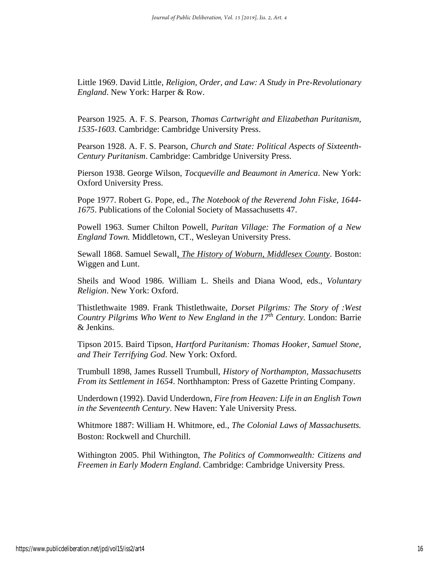Little 1969. David Little, *Religion, Order, and Law: A Study in Pre-Revolutionary England*. New York: Harper & Row.

Pearson 1925. A. F. S. Pearson, *Thomas Cartwright and Elizabethan Puritanism, 1535-1603.* Cambridge: Cambridge University Press.

Pearson 1928. A. F. S. Pearson, *Church and State: Political Aspects of Sixteenth-Century Puritanism*. Cambridge: Cambridge University Press.

Pierson 1938. George Wilson, *Tocqueville and Beaumont in America*. New York: Oxford University Press.

Pope 1977. Robert G. Pope, ed., *The Notebook of the Reverend John Fiske, 1644- 1675*. Publications of the Colonial Society of Massachusetts 47.

Powell 1963. Sumer Chilton Powell, *Puritan Village: The Formation of a New England Town.* Middletown, CT., Wesleyan University Press.

Sewall 1868. Samuel Sewall*, The History of Woburn, Middlesex County*. Boston: Wiggen and Lunt.

Sheils and Wood 1986. William L. Sheils and Diana Wood, eds., *Voluntary Religion*. New York: Oxford.

Thistlethwaite 1989. Frank Thistlethwaite, *Dorset Pilgrims: The Story of :West Country Pilgrims Who Went to New England in the 17th Century.* London: Barrie & Jenkins.

Tipson 2015. Baird Tipson, *Hartford Puritanism: Thomas Hooker, Samuel Stone, and Their Terrifying God*. New York: Oxford.

Trumbull 1898, James Russell Trumbull, *History of Northampton, Massachusetts From its Settlement in 1654*. Northhampton: Press of Gazette Printing Company.

Underdown (1992). David Underdown, *Fire from Heaven: Life in an English Town in the Seventeenth Century*. New Haven: Yale University Press.

Whitmore 1887: William H. Whitmore, ed., *The Colonial Laws of Massachusetts.*  Boston: Rockwell and Churchill.

Withington 2005. Phil Withington, *The Politics of Commonwealth: Citizens and Freemen in Early Modern England*. Cambridge: Cambridge University Press.